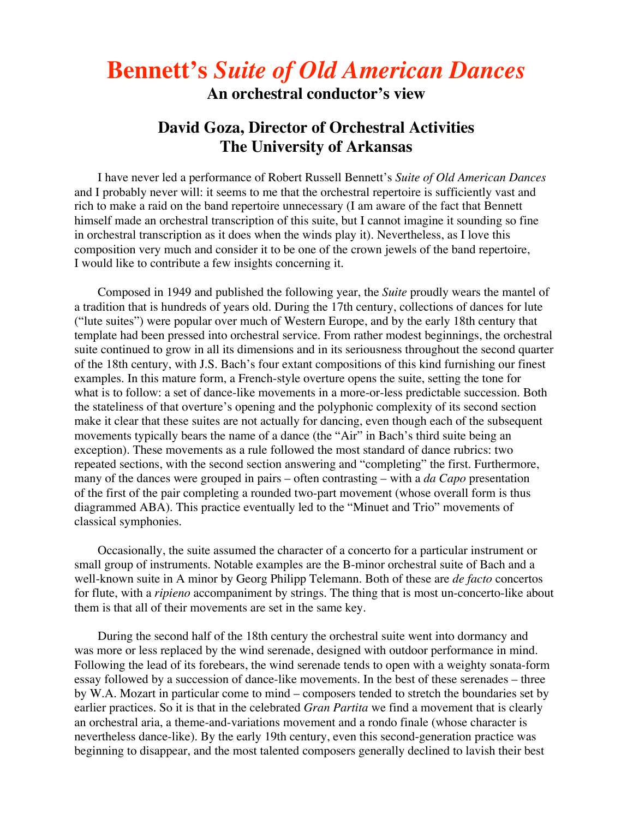# **Bennett's** *Suite of Old American Dances*

**An orchestral conductor's view**

# **David Goza, Director of Orchestral Activities The University of Arkansas**

I have never led a performance of Robert Russell Bennett's *Suite of Old American Dances* and I probably never will: it seems to me that the orchestral repertoire is sufficiently vast and rich to make a raid on the band repertoire unnecessary (I am aware of the fact that Bennett himself made an orchestral transcription of this suite, but I cannot imagine it sounding so fine in orchestral transcription as it does when the winds play it). Nevertheless, as I love this composition very much and consider it to be one of the crown jewels of the band repertoire, I would like to contribute a few insights concerning it.

Composed in 1949 and published the following year, the *Suite* proudly wears the mantel of a tradition that is hundreds of years old. During the 17th century, collections of dances for lute ("lute suites") were popular over much of Western Europe, and by the early 18th century that template had been pressed into orchestral service. From rather modest beginnings, the orchestral suite continued to grow in all its dimensions and in its seriousness throughout the second quarter of the 18th century, with J.S. Bach's four extant compositions of this kind furnishing our finest examples. In this mature form, a French-style overture opens the suite, setting the tone for what is to follow: a set of dance-like movements in a more-or-less predictable succession. Both the stateliness of that overture's opening and the polyphonic complexity of its second section make it clear that these suites are not actually for dancing, even though each of the subsequent movements typically bears the name of a dance (the "Air" in Bach's third suite being an exception). These movements as a rule followed the most standard of dance rubrics: two repeated sections, with the second section answering and "completing" the first. Furthermore, many of the dances were grouped in pairs – often contrasting – with a *da Capo* presentation of the first of the pair completing a rounded two-part movement (whose overall form is thus diagrammed ABA). This practice eventually led to the "Minuet and Trio" movements of classical symphonies.

Occasionally, the suite assumed the character of a concerto for a particular instrument or small group of instruments. Notable examples are the B-minor orchestral suite of Bach and a well-known suite in A minor by Georg Philipp Telemann. Both of these are *de facto* concertos for flute, with a *ripieno* accompaniment by strings. The thing that is most un-concerto-like about them is that all of their movements are set in the same key.

During the second half of the 18th century the orchestral suite went into dormancy and was more or less replaced by the wind serenade, designed with outdoor performance in mind. Following the lead of its forebears, the wind serenade tends to open with a weighty sonata-form essay followed by a succession of dance-like movements. In the best of these serenades – three by W.A. Mozart in particular come to mind – composers tended to stretch the boundaries set by earlier practices. So it is that in the celebrated *Gran Partita* we find a movement that is clearly an orchestral aria, a theme-and-variations movement and a rondo finale (whose character is nevertheless dance-like). By the early 19th century, even this second-generation practice was beginning to disappear, and the most talented composers generally declined to lavish their best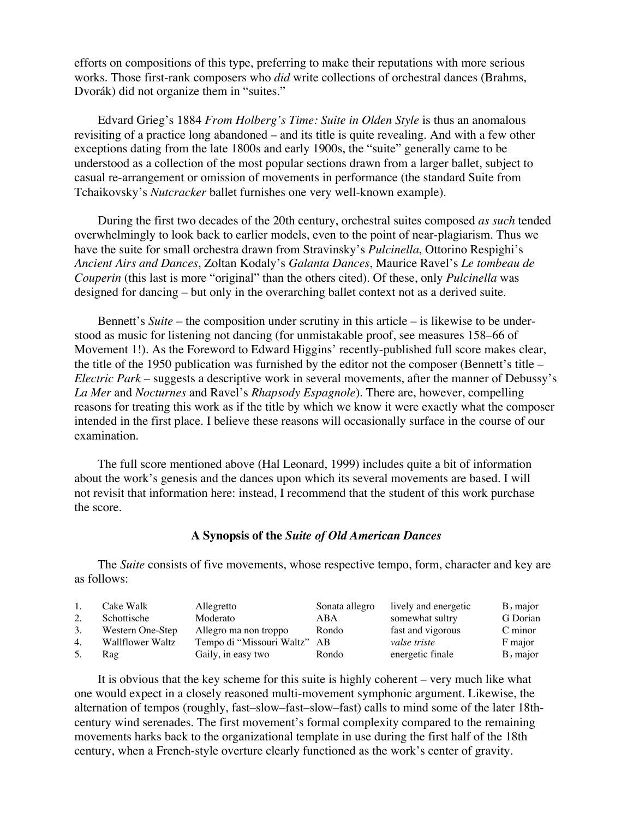efforts on compositions of this type, preferring to make their reputations with more serious works. Those first-rank composers who *did* write collections of orchestral dances (Brahms, Dvorák) did not organize them in "suites."

Edvard Grieg's 1884 *From Holberg's Time: Suite in Olden Style* is thus an anomalous revisiting of a practice long abandoned – and its title is quite revealing. And with a few other exceptions dating from the late 1800s and early 1900s, the "suite" generally came to be understood as a collection of the most popular sections drawn from a larger ballet, subject to casual re-arrangement or omission of movements in performance (the standard Suite from Tchaikovsky's *Nutcracker* ballet furnishes one very well-known example).

During the first two decades of the 20th century, orchestral suites composed *as such* tended overwhelmingly to look back to earlier models, even to the point of near-plagiarism. Thus we have the suite for small orchestra drawn from Stravinsky's *Pulcinella*, Ottorino Respighi's *Ancient Airs and Dances*, Zoltan Kodaly's *Galanta Dances*, Maurice Ravel's *Le tombeau de Couperin* (this last is more "original" than the others cited). Of these, only *Pulcinella* was designed for dancing – but only in the overarching ballet context not as a derived suite.

Bennett's *Suite* – the composition under scrutiny in this article – is likewise to be understood as music for listening not dancing (for unmistakable proof, see measures 158–66 of Movement 1!). As the Foreword to Edward Higgins' recently-published full score makes clear, the title of the 1950 publication was furnished by the editor not the composer (Bennett's title – *Electric Park* – suggests a descriptive work in several movements, after the manner of Debussy's *La Mer* and *Nocturnes* and Ravel's *Rhapsody Espagnole*). There are, however, compelling reasons for treating this work as if the title by which we know it were exactly what the composer intended in the first place. I believe these reasons will occasionally surface in the course of our examination.

The full score mentioned above (Hal Leonard, 1999) includes quite a bit of information about the work's genesis and the dances upon which its several movements are based. I will not revisit that information here: instead, I recommend that the student of this work purchase the score.

# **A Synopsis of the** *Suite of Old American Dances*

The *Suite* consists of five movements, whose respective tempo, form, character and key are as follows:

| 1. | Cake Walk               | Allegretto                   | Sonata allegro | lively and energetic | $Bb$ major  |
|----|-------------------------|------------------------------|----------------|----------------------|-------------|
|    | Schottische             | Moderato                     | ABA            | somewhat sultry      | G Dorian    |
| 3. | Western One-Step        | Allegro ma non troppo        | Rondo          | fast and vigorous    | C minor     |
| 4. | <b>Wallflower Waltz</b> | Tempo di "Missouri Waltz" AB |                | valse triste         | F major     |
|    | Rag                     | Gaily, in easy two           | Rondo          | energetic finale     | $B_b$ major |

It is obvious that the key scheme for this suite is highly coherent – very much like what one would expect in a closely reasoned multi-movement symphonic argument. Likewise, the alternation of tempos (roughly, fast–slow–fast–slow–fast) calls to mind some of the later 18thcentury wind serenades. The first movement's formal complexity compared to the remaining movements harks back to the organizational template in use during the first half of the 18th century, when a French-style overture clearly functioned as the work's center of gravity.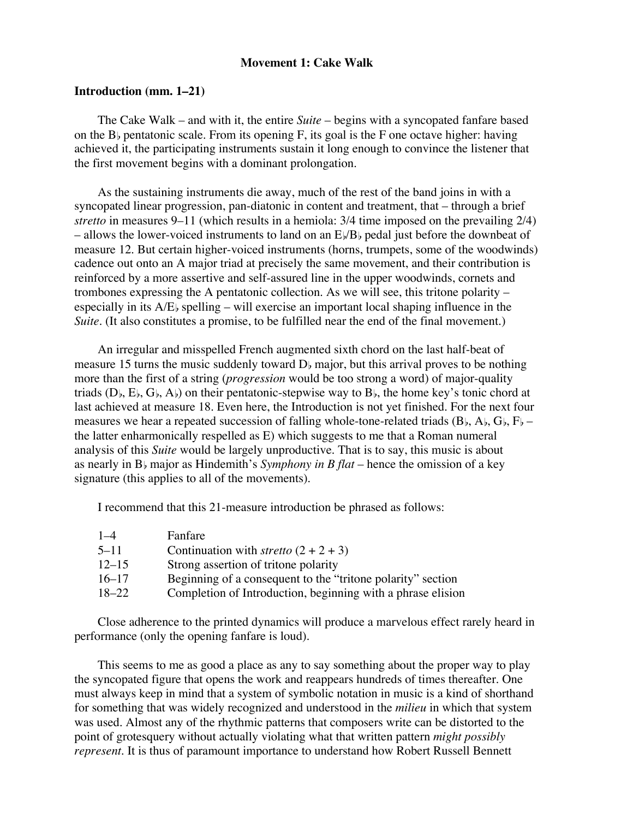# **Movement 1: Cake Walk**

# **Introduction (mm. 1–21)**

The Cake Walk – and with it, the entire *Suite* – begins with a syncopated fanfare based on the B<sub>b</sub> pentatonic scale. From its opening F, its goal is the F one octave higher: having achieved it, the participating instruments sustain it long enough to convince the listener that the first movement begins with a dominant prolongation.

As the sustaining instruments die away, much of the rest of the band joins in with a syncopated linear progression, pan-diatonic in content and treatment, that – through a brief *stretto* in measures 9–11 (which results in a hemiola: 3/4 time imposed on the prevailing 2/4) – allows the lower-voiced instruments to land on an  $E/B_b$  pedal just before the downbeat of measure 12. But certain higher-voiced instruments (horns, trumpets, some of the woodwinds) cadence out onto an A major triad at precisely the same movement, and their contribution is reinforced by a more assertive and self-assured line in the upper woodwinds, cornets and trombones expressing the A pentatonic collection. As we will see, this tritone polarity – especially in its  $A/E$  spelling – will exercise an important local shaping influence in the *Suite*. (It also constitutes a promise, to be fulfilled near the end of the final movement.)

An irregular and misspelled French augmented sixth chord on the last half-beat of measure 15 turns the music suddenly toward  $D<sub>b</sub>$  major, but this arrival proves to be nothing more than the first of a string (*progression* would be too strong a word) of major-quality triads  $(D_1, E_2, G_1, A_2)$  on their pentatonic-stepwise way to  $B_1$ , the home key's tonic chord at last achieved at measure 18. Even here, the Introduction is not yet finished. For the next four measures we hear a repeated succession of falling whole-tone-related triads  $(B_1, A_1, G_1, F_1$ the latter enharmonically respelled as E) which suggests to me that a Roman numeral analysis of this *Suite* would be largely unproductive. That is to say, this music is about as nearly in  $B$  major as Hindemith's *Symphony in B flat* – hence the omission of a key signature (this applies to all of the movements).

I recommend that this 21-measure introduction be phrased as follows:

| $1 - 4$   | Fanfare                                                     |
|-----------|-------------------------------------------------------------|
| 5–11      | Continuation with <i>stretto</i> $(2 + 2 + 3)$              |
| $12 - 15$ | Strong assertion of tritone polarity                        |
| $16 - 17$ | Beginning of a consequent to the "tritone polarity" section |
| $18 - 22$ | Completion of Introduction, beginning with a phrase elision |

Close adherence to the printed dynamics will produce a marvelous effect rarely heard in performance (only the opening fanfare is loud).

This seems to me as good a place as any to say something about the proper way to play the syncopated figure that opens the work and reappears hundreds of times thereafter. One must always keep in mind that a system of symbolic notation in music is a kind of shorthand for something that was widely recognized and understood in the *milieu* in which that system was used. Almost any of the rhythmic patterns that composers write can be distorted to the point of grotesquery without actually violating what that written pattern *might possibly represent*. It is thus of paramount importance to understand how Robert Russell Bennett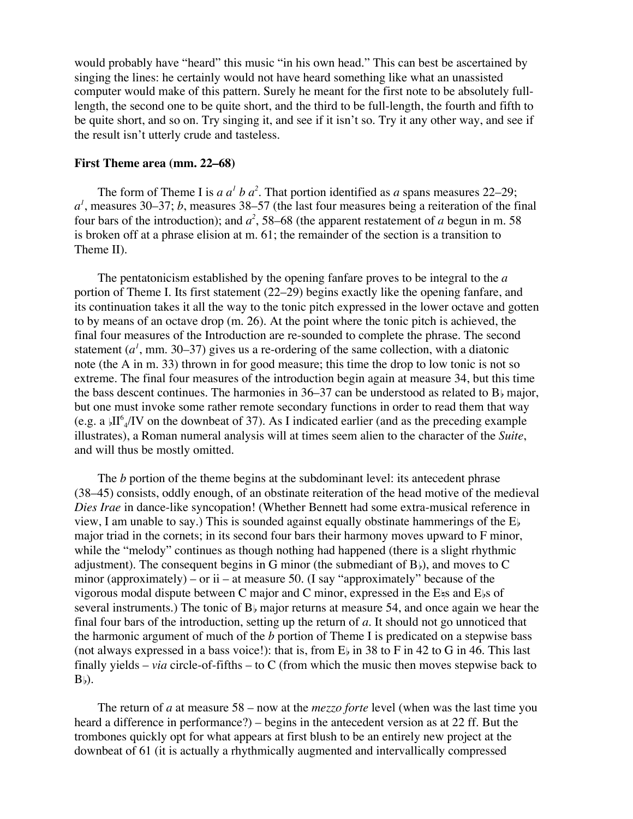would probably have "heard" this music "in his own head." This can best be ascertained by singing the lines: he certainly would not have heard something like what an unassisted computer would make of this pattern. Surely he meant for the first note to be absolutely fulllength, the second one to be quite short, and the third to be full-length, the fourth and fifth to be quite short, and so on. Try singing it, and see if it isn't so. Try it any other way, and see if the result isn't utterly crude and tasteless.

#### **First Theme area (mm. 22–68)**

The form of Theme I is  $a a<sup>1</sup> b a<sup>2</sup>$ . That portion identified as  $a$  spans measures 22–29; *a1* , measures 30–37; *b*, measures 38–57 (the last four measures being a reiteration of the final four bars of the introduction); and  $a^2$ , 58–68 (the apparent restatement of *a* begun in m. 58 is broken off at a phrase elision at m. 61; the remainder of the section is a transition to Theme II).

The pentatonicism established by the opening fanfare proves to be integral to the *a* portion of Theme I. Its first statement (22–29) begins exactly like the opening fanfare, and its continuation takes it all the way to the tonic pitch expressed in the lower octave and gotten to by means of an octave drop (m. 26). At the point where the tonic pitch is achieved, the final four measures of the Introduction are re-sounded to complete the phrase. The second statement  $(a<sup>1</sup>$ , mm. 30–37) gives us a re-ordering of the same collection, with a diatonic note (the A in m. 33) thrown in for good measure; this time the drop to low tonic is not so extreme. The final four measures of the introduction begin again at measure 34, but this time the bass descent continues. The harmonies in  $36-37$  can be understood as related to  $B<sub>b</sub>$  major, but one must invoke some rather remote secondary functions in order to read them that way (e.g. a  $\mu$ II<sup>6</sup><sub>4</sub>/IV on the downbeat of 37). As I indicated earlier (and as the preceding example illustrates), a Roman numeral analysis will at times seem alien to the character of the *Suite*, and will thus be mostly omitted.

The *b* portion of the theme begins at the subdominant level: its antecedent phrase (38–45) consists, oddly enough, of an obstinate reiteration of the head motive of the medieval *Dies Irae* in dance-like syncopation! (Whether Bennett had some extra-musical reference in view, I am unable to say.) This is sounded against equally obstinate hammerings of the  $E<sub>b</sub>$ major triad in the cornets; in its second four bars their harmony moves upward to F minor, while the "melody" continues as though nothing had happened (there is a slight rhythmic adjustment). The consequent begins in G minor (the submediant of  $B_{\beta}$ ), and moves to C minor (approximately) – or ii – at measure 50. (I say "approximately" because of the vigorous modal dispute between C major and C minor, expressed in the E $\frac{1}{5}$  and E<sub>bs</sub> of several instruments.) The tonic of  $B<sub>b</sub>$  major returns at measure 54, and once again we hear the final four bars of the introduction, setting up the return of *a*. It should not go unnoticed that the harmonic argument of much of the *b* portion of Theme I is predicated on a stepwise bass (not always expressed in a bass voice!): that is, from  $E_{\rm b}$  in 38 to F in 42 to G in 46. This last finally yields – *via* circle-of-fifths – to C (from which the music then moves stepwise back to  $B<sub>b</sub>$ ).

The return of *a* at measure 58 – now at the *mezzo forte* level (when was the last time you heard a difference in performance?) – begins in the antecedent version as at 22 ff. But the trombones quickly opt for what appears at first blush to be an entirely new project at the downbeat of 61 (it is actually a rhythmically augmented and intervallically compressed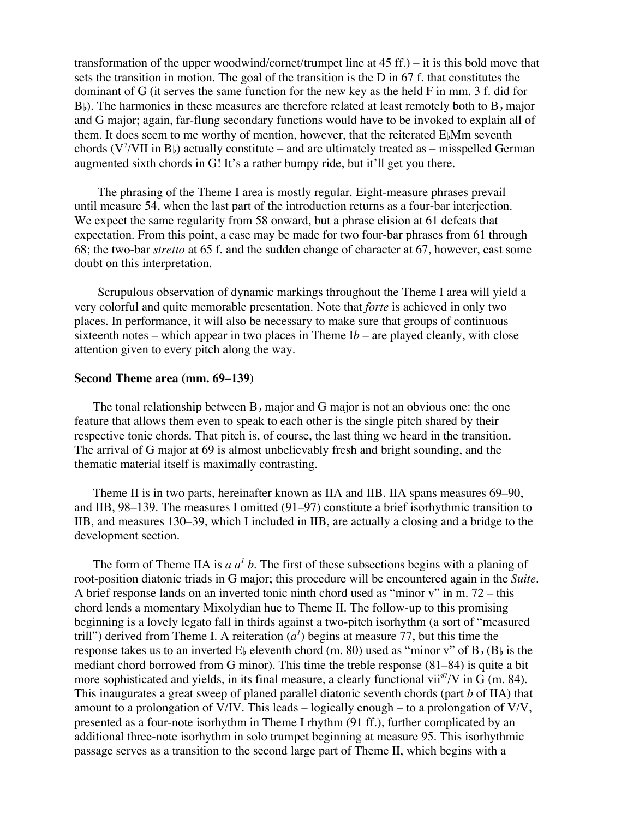transformation of the upper woodwind/cornet/trumpet line at 45 ff.) – it is this bold move that sets the transition in motion. The goal of the transition is the D in 67 f. that constitutes the dominant of G (it serves the same function for the new key as the held F in mm. 3 f. did for  $B_{\rm b}$ ). The harmonies in these measures are therefore related at least remotely both to  $B_{\rm b}$  major and G major; again, far-flung secondary functions would have to be invoked to explain all of them. It does seem to me worthy of mention, however, that the reiterated  $E_{\rm k}$ Mm seventh chords ( $V^7$ /VII in B<sub>b</sub>) actually constitute – and are ultimately treated as – misspelled German augmented sixth chords in G! It's a rather bumpy ride, but it'll get you there.

The phrasing of the Theme I area is mostly regular. Eight-measure phrases prevail until measure 54, when the last part of the introduction returns as a four-bar interjection. We expect the same regularity from 58 onward, but a phrase elision at 61 defeats that expectation. From this point, a case may be made for two four-bar phrases from 61 through 68; the two-bar *stretto* at 65 f. and the sudden change of character at 67, however, cast some doubt on this interpretation.

Scrupulous observation of dynamic markings throughout the Theme I area will yield a very colorful and quite memorable presentation. Note that *forte* is achieved in only two places. In performance, it will also be necessary to make sure that groups of continuous sixteenth notes – which appear in two places in Theme  $Ib$  – are played cleanly, with close attention given to every pitch along the way.

# **Second Theme area (mm. 69–139)**

The tonal relationship between  $B<sub>b</sub>$  major and G major is not an obvious one: the one feature that allows them even to speak to each other is the single pitch shared by their respective tonic chords. That pitch is, of course, the last thing we heard in the transition. The arrival of G major at 69 is almost unbelievably fresh and bright sounding, and the thematic material itself is maximally contrasting.

Theme II is in two parts, hereinafter known as IIA and IIB. IIA spans measures 69–90, and IIB, 98–139. The measures I omitted (91–97) constitute a brief isorhythmic transition to IIB, and measures 130–39, which I included in IIB, are actually a closing and a bridge to the development section.

The form of Theme IIA is  $a a<sup>1</sup> b$ . The first of these subsections begins with a planing of root-position diatonic triads in G major; this procedure will be encountered again in the *Suite*. A brief response lands on an inverted tonic ninth chord used as "minor v" in m. 72 – this chord lends a momentary Mixolydian hue to Theme II. The follow-up to this promising beginning is a lovely legato fall in thirds against a two-pitch isorhythm (a sort of "measured trill") derived from Theme I. A reiteration  $(a<sup>1</sup>)$  begins at measure 77, but this time the response takes us to an inverted  $E_b$  eleventh chord (m. 80) used as "minor v" of  $B_b$  ( $B_b$  is the mediant chord borrowed from G minor). This time the treble response (81–84) is quite a bit more sophisticated and yields, in its final measure, a clearly functional  $\text{vii}^{\circ 7}/\text{V}$  in G (m. 84). This inaugurates a great sweep of planed parallel diatonic seventh chords (part *b* of IIA) that amount to a prolongation of V/IV. This leads – logically enough – to a prolongation of V/V, presented as a four-note isorhythm in Theme I rhythm (91 ff.), further complicated by an additional three-note isorhythm in solo trumpet beginning at measure 95. This isorhythmic passage serves as a transition to the second large part of Theme II, which begins with a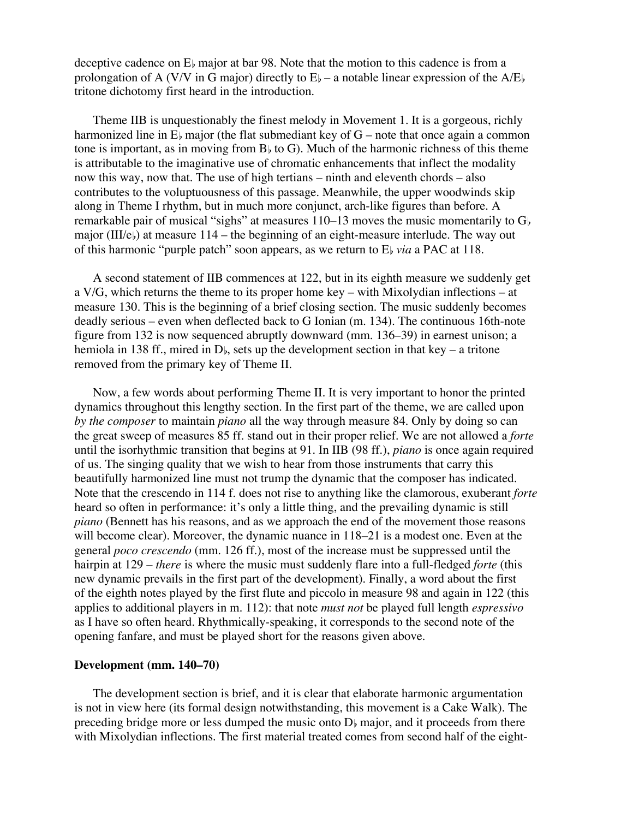deceptive cadence on  $E<sub>b</sub>$  major at bar 98. Note that the motion to this cadence is from a prolongation of A (V/V in G major) directly to  $E_b$  – a notable linear expression of the A/E<sub>b</sub> tritone dichotomy first heard in the introduction.

Theme IIB is unquestionably the finest melody in Movement 1. It is a gorgeous, richly harmonized line in  $E<sub>b</sub>$  major (the flat submediant key of  $G$  – note that once again a common tone is important, as in moving from  $B<sub>b</sub>$  to G). Much of the harmonic richness of this theme is attributable to the imaginative use of chromatic enhancements that inflect the modality now this way, now that. The use of high tertians – ninth and eleventh chords – also contributes to the voluptuousness of this passage. Meanwhile, the upper woodwinds skip along in Theme I rhythm, but in much more conjunct, arch-like figures than before. A remarkable pair of musical "sighs" at measures  $110-13$  moves the music momentarily to  $G<sub>b</sub>$ major (III/e<sub>b</sub>) at measure 114 – the beginning of an eight-measure interlude. The way out of this harmonic "purple patch" soon appears, as we return to E<sub>*via*</sub> a PAC at 118.

A second statement of IIB commences at 122, but in its eighth measure we suddenly get a V/G, which returns the theme to its proper home key – with Mixolydian inflections – at measure 130. This is the beginning of a brief closing section. The music suddenly becomes deadly serious – even when deflected back to G Ionian (m. 134). The continuous 16th-note figure from 132 is now sequenced abruptly downward (mm. 136–39) in earnest unison; a hemiola in 138 ff., mired in  $D<sub>b</sub>$ , sets up the development section in that key – a tritone removed from the primary key of Theme II.

Now, a few words about performing Theme II. It is very important to honor the printed dynamics throughout this lengthy section. In the first part of the theme, we are called upon *by the composer* to maintain *piano* all the way through measure 84. Only by doing so can the great sweep of measures 85 ff. stand out in their proper relief. We are not allowed a *forte* until the isorhythmic transition that begins at 91. In IIB (98 ff.), *piano* is once again required of us. The singing quality that we wish to hear from those instruments that carry this beautifully harmonized line must not trump the dynamic that the composer has indicated. Note that the crescendo in 114 f. does not rise to anything like the clamorous, exuberant *forte* heard so often in performance: it's only a little thing, and the prevailing dynamic is still *piano* (Bennett has his reasons, and as we approach the end of the movement those reasons will become clear). Moreover, the dynamic nuance in  $118-21$  is a modest one. Even at the general *poco crescendo* (mm. 126 ff.), most of the increase must be suppressed until the hairpin at 129 – *there* is where the music must suddenly flare into a full-fledged *forte* (this new dynamic prevails in the first part of the development). Finally, a word about the first of the eighth notes played by the first flute and piccolo in measure 98 and again in 122 (this applies to additional players in m. 112): that note *must not* be played full length *espressivo* as I have so often heard. Rhythmically-speaking, it corresponds to the second note of the opening fanfare, and must be played short for the reasons given above.

# **Development (mm. 140–70)**

The development section is brief, and it is clear that elaborate harmonic argumentation is not in view here (its formal design notwithstanding, this movement is a Cake Walk). The preceding bridge more or less dumped the music onto  $D<sub>b</sub>$  major, and it proceeds from there with Mixolydian inflections. The first material treated comes from second half of the eight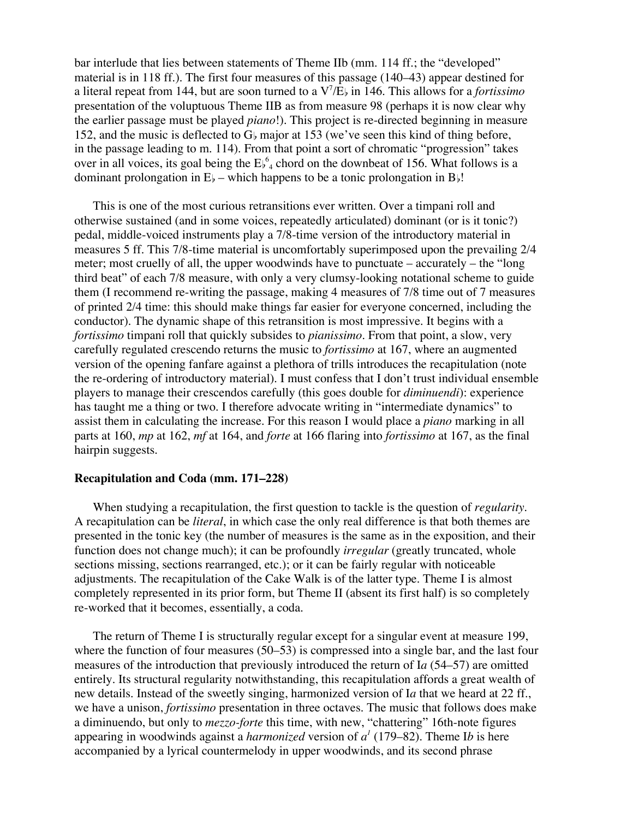bar interlude that lies between statements of Theme IIb (mm. 114 ff.; the "developed" material is in 118 ff.). The first four measures of this passage (140–43) appear destined for a literal repeat from 144, but are soon turned to a  $V^7/E$  in 146. This allows for a *fortissimo* presentation of the voluptuous Theme IIB as from measure 98 (perhaps it is now clear why the earlier passage must be played *piano*!). This project is re-directed beginning in measure 152, and the music is deflected to  $G<sub>b</sub>$  major at 153 (we've seen this kind of thing before, in the passage leading to m. 114). From that point a sort of chromatic "progression" takes over in all voices, its goal being the  $E_{\nu_4}^6$  chord on the downbeat of 156. What follows is a dominant prolongation in  $E_b$  – which happens to be a tonic prolongation in  $B_b!$ .

This is one of the most curious retransitions ever written. Over a timpani roll and otherwise sustained (and in some voices, repeatedly articulated) dominant (or is it tonic?) pedal, middle-voiced instruments play a 7/8-time version of the introductory material in measures 5 ff. This 7/8-time material is uncomfortably superimposed upon the prevailing 2/4 meter; most cruelly of all, the upper woodwinds have to punctuate – accurately – the "long third beat" of each 7/8 measure, with only a very clumsy-looking notational scheme to guide them (I recommend re-writing the passage, making 4 measures of 7/8 time out of 7 measures of printed 2/4 time: this should make things far easier for everyone concerned, including the conductor). The dynamic shape of this retransition is most impressive. It begins with a *fortissimo* timpani roll that quickly subsides to *pianissimo*. From that point, a slow, very carefully regulated crescendo returns the music to *fortissimo* at 167, where an augmented version of the opening fanfare against a plethora of trills introduces the recapitulation (note the re-ordering of introductory material). I must confess that I don't trust individual ensemble players to manage their crescendos carefully (this goes double for *diminuendi*): experience has taught me a thing or two. I therefore advocate writing in "intermediate dynamics" to assist them in calculating the increase. For this reason I would place a *piano* marking in all parts at 160, *mp* at 162, *mf* at 164, and *forte* at 166 flaring into *fortissimo* at 167, as the final hairpin suggests.

# **Recapitulation and Coda (mm. 171–228)**

When studying a recapitulation, the first question to tackle is the question of *regularity*. A recapitulation can be *literal*, in which case the only real difference is that both themes are presented in the tonic key (the number of measures is the same as in the exposition, and their function does not change much); it can be profoundly *irregular* (greatly truncated, whole sections missing, sections rearranged, etc.); or it can be fairly regular with noticeable adjustments. The recapitulation of the Cake Walk is of the latter type. Theme I is almost completely represented in its prior form, but Theme II (absent its first half) is so completely re-worked that it becomes, essentially, a coda.

The return of Theme I is structurally regular except for a singular event at measure 199, where the function of four measures (50–53) is compressed into a single bar, and the last four measures of the introduction that previously introduced the return of I*a* (54–57) are omitted entirely. Its structural regularity notwithstanding, this recapitulation affords a great wealth of new details. Instead of the sweetly singing, harmonized version of I*a* that we heard at 22 ff., we have a unison, *fortissimo* presentation in three octaves. The music that follows does make a diminuendo, but only to *mezzo-forte* this time, with new, "chattering" 16th-note figures appearing in woodwinds against a *harmonized* version of *a1* (179–82). Theme I*b* is here accompanied by a lyrical countermelody in upper woodwinds, and its second phrase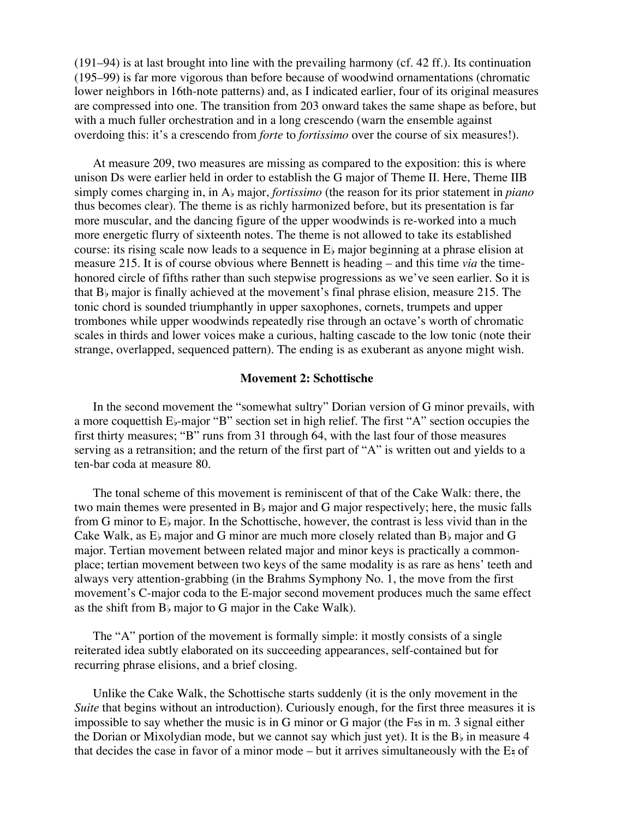(191–94) is at last brought into line with the prevailing harmony (cf. 42 ff.). Its continuation (195–99) is far more vigorous than before because of woodwind ornamentations (chromatic lower neighbors in 16th-note patterns) and, as I indicated earlier, four of its original measures are compressed into one. The transition from 203 onward takes the same shape as before, but with a much fuller orchestration and in a long crescendo (warn the ensemble against overdoing this: it's a crescendo from *forte* to *fortissimo* over the course of six measures!).

At measure 209, two measures are missing as compared to the exposition: this is where unison Ds were earlier held in order to establish the G major of Theme II. Here, Theme IIB simply comes charging in, in A<sub>b</sub> major, *fortissimo* (the reason for its prior statement in *piano* thus becomes clear). The theme is as richly harmonized before, but its presentation is far more muscular, and the dancing figure of the upper woodwinds is re-worked into a much more energetic flurry of sixteenth notes. The theme is not allowed to take its established course: its rising scale now leads to a sequence in  $E<sub>b</sub>$  major beginning at a phrase elision at measure 215. It is of course obvious where Bennett is heading – and this time *via* the timehonored circle of fifths rather than such stepwise progressions as we've seen earlier. So it is that  $B<sub>b</sub>$  major is finally achieved at the movement's final phrase elision, measure 215. The tonic chord is sounded triumphantly in upper saxophones, cornets, trumpets and upper trombones while upper woodwinds repeatedly rise through an octave's worth of chromatic scales in thirds and lower voices make a curious, halting cascade to the low tonic (note their strange, overlapped, sequenced pattern). The ending is as exuberant as anyone might wish.

#### **Movement 2: Schottische**

In the second movement the "somewhat sultry" Dorian version of G minor prevails, with a more coquettish  $E_{\nu}$ -major "B" section set in high relief. The first "A" section occupies the first thirty measures; "B" runs from 31 through 64, with the last four of those measures serving as a retransition; and the return of the first part of "A" is written out and yields to a ten-bar coda at measure 80.

The tonal scheme of this movement is reminiscent of that of the Cake Walk: there, the two main themes were presented in  $B<sub>b</sub>$  major and G major respectively; here, the music falls from G minor to  $E<sub>b</sub>$  major. In the Schottische, however, the contrast is less vivid than in the Cake Walk, as  $E<sub>b</sub>$  major and G minor are much more closely related than  $B<sub>b</sub>$  major and G major. Tertian movement between related major and minor keys is practically a commonplace; tertian movement between two keys of the same modality is as rare as hens' teeth and always very attention-grabbing (in the Brahms Symphony No. 1, the move from the first movement's C-major coda to the E-major second movement produces much the same effect as the shift from  $B$  major to G major in the Cake Walk).

The "A" portion of the movement is formally simple: it mostly consists of a single reiterated idea subtly elaborated on its succeeding appearances, self-contained but for recurring phrase elisions, and a brief closing.

Unlike the Cake Walk, the Schottische starts suddenly (it is the only movement in the *Suite* that begins without an introduction). Curiously enough, for the first three measures it is impossible to say whether the music is in G minor or G major (the  $F<sub>5</sub>$  in m. 3 signal either the Dorian or Mixolydian mode, but we cannot say which just yet). It is the  $B<sub>b</sub>$  in measure 4 that decides the case in favor of a minor mode – but it arrives simultaneously with the  $E_{\frac{1}{2}}$  of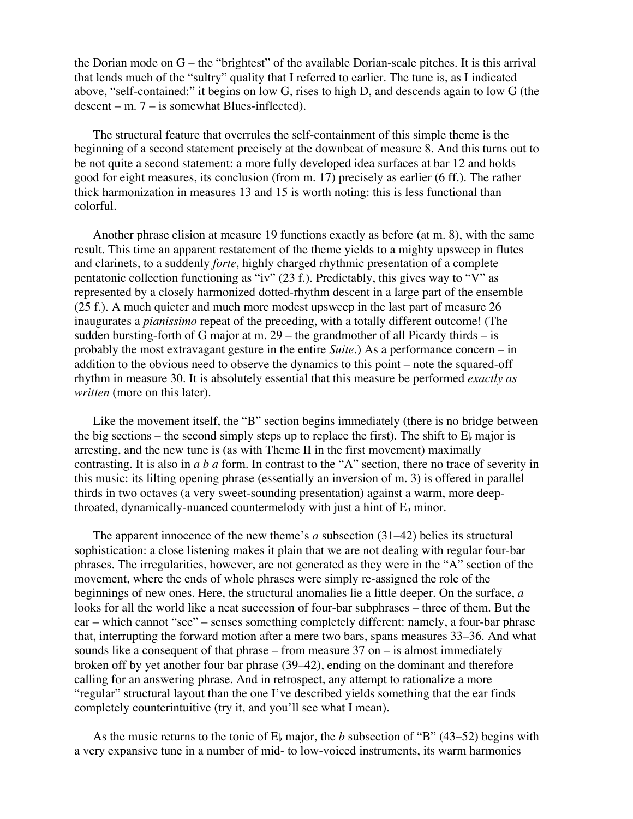the Dorian mode on G – the "brightest" of the available Dorian-scale pitches. It is this arrival that lends much of the "sultry" quality that I referred to earlier. The tune is, as I indicated above, "self-contained:" it begins on low G, rises to high D, and descends again to low G (the  $descent - m. 7 - is somewhat Blues-inflected).$ 

The structural feature that overrules the self-containment of this simple theme is the beginning of a second statement precisely at the downbeat of measure 8. And this turns out to be not quite a second statement: a more fully developed idea surfaces at bar 12 and holds good for eight measures, its conclusion (from m. 17) precisely as earlier (6 ff.). The rather thick harmonization in measures 13 and 15 is worth noting: this is less functional than colorful.

Another phrase elision at measure 19 functions exactly as before (at m. 8), with the same result. This time an apparent restatement of the theme yields to a mighty upsweep in flutes and clarinets, to a suddenly *forte*, highly charged rhythmic presentation of a complete pentatonic collection functioning as "iv" (23 f.). Predictably, this gives way to "V" as represented by a closely harmonized dotted-rhythm descent in a large part of the ensemble (25 f.). A much quieter and much more modest upsweep in the last part of measure 26 inaugurates a *pianissimo* repeat of the preceding, with a totally different outcome! (The sudden bursting-forth of G major at m.  $29$  – the grandmother of all Picardy thirds – is probably the most extravagant gesture in the entire *Suite*.) As a performance concern – in addition to the obvious need to observe the dynamics to this point – note the squared-off rhythm in measure 30. It is absolutely essential that this measure be performed *exactly as written* (more on this later).

Like the movement itself, the "B" section begins immediately (there is no bridge between the big sections – the second simply steps up to replace the first). The shift to  $E<sub>b</sub>$  major is arresting, and the new tune is (as with Theme II in the first movement) maximally contrasting. It is also in *a b a* form. In contrast to the "A" section, there no trace of severity in this music: its lilting opening phrase (essentially an inversion of m. 3) is offered in parallel thirds in two octaves (a very sweet-sounding presentation) against a warm, more deepthroated, dynamically-nuanced countermelody with just a hint of  $E_{\rm k}$  minor.

The apparent innocence of the new theme's *a* subsection (31–42) belies its structural sophistication: a close listening makes it plain that we are not dealing with regular four-bar phrases. The irregularities, however, are not generated as they were in the "A" section of the movement, where the ends of whole phrases were simply re-assigned the role of the beginnings of new ones. Here, the structural anomalies lie a little deeper. On the surface, *a* looks for all the world like a neat succession of four-bar subphrases – three of them. But the ear – which cannot "see" – senses something completely different: namely, a four-bar phrase that, interrupting the forward motion after a mere two bars, spans measures 33–36. And what sounds like a consequent of that phrase – from measure  $37$  on – is almost immediately broken off by yet another four bar phrase (39–42), ending on the dominant and therefore calling for an answering phrase. And in retrospect, any attempt to rationalize a more "regular" structural layout than the one I've described yields something that the ear finds completely counterintuitive (try it, and you'll see what I mean).

As the music returns to the tonic of  $E_b$  major, the *b* subsection of "B" (43–52) begins with a very expansive tune in a number of mid- to low-voiced instruments, its warm harmonies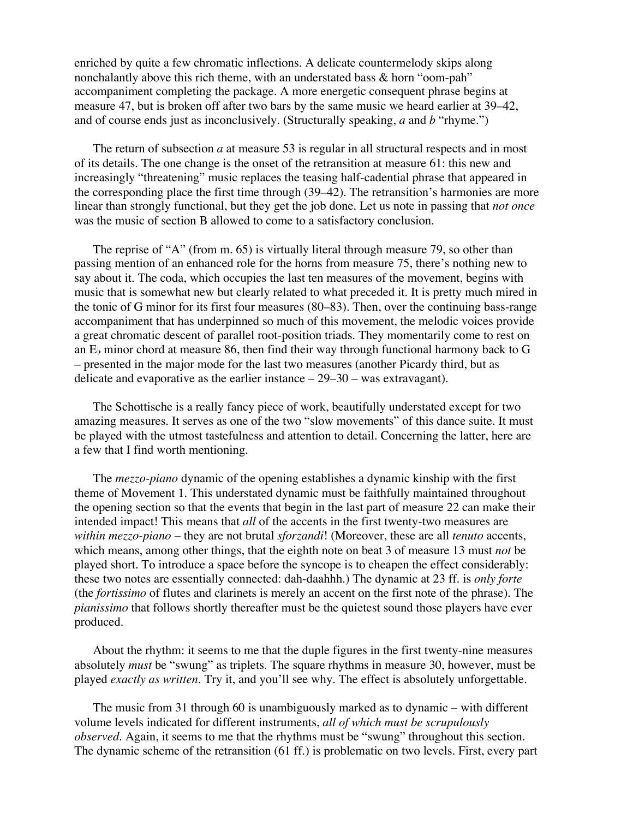enriched by quite a few chromatic inflections. A delicate countermelody skips along nonchalantly above this rich theme, with an understated bass & horn "oom-pah" accompaniment completing the package. A more energetic consequent phrase begins at measure 47, but is broken off after two bars by the same music we heard earlier at 39–42, and of course ends just as inconclusively. (Structurally speaking, *a* and *b* "rhyme.")

The return of subsection *a* at measure 53 is regular in all structural respects and in most of its details. The one change is the onset of the retransition at measure 61: this new and increasingly "threatening" music replaces the teasing half-cadential phrase that appeared in the corresponding place the first time through (39–42). The retransition's harmonies are more linear than strongly functional, but they get the job done. Let us note in passing that *not once* was the music of section B allowed to come to a satisfactory conclusion.

The reprise of "A" (from m. 65) is virtually literal through measure 79, so other than passing mention of an enhanced role for the horns from measure 75, there's nothing new to say about it. The coda, which occupies the last ten measures of the movement, begins with music that is somewhat new but clearly related to what preceded it. It is pretty much mired in the tonic of G minor for its first four measures (80–83). Then, over the continuing bass-range accompaniment that has underpinned so much of this movement, the melodic voices provide a great chromatic descent of parallel root-position triads. They momentarily come to rest on an  $E<sub>b</sub>$  minor chord at measure 86, then find their way through functional harmony back to G – presented in the major mode for the last two measures (another Picardy third, but as delicate and evaporative as the earlier instance  $-29-30$  – was extravagant).

The Schottische is a really fancy piece of work, beautifully understated except for two amazing measures. It serves as one of the two "slow movements" of this dance suite. It must be played with the utmost tastefulness and attention to detail. Concerning the latter, here are a few that I find worth mentioning.

The *mezzo-piano* dynamic of the opening establishes a dynamic kinship with the first theme of Movement 1. This understated dynamic must be faithfully maintained throughout the opening section so that the events that begin in the last part of measure 22 can make their intended impact! This means that *all* of the accents in the first twenty-two measures are *within mezzo-piano* – they are not brutal *sforzandi*! (Moreover, these are all *tenuto* accents, which means, among other things, that the eighth note on beat 3 of measure 13 must *not* be played short. To introduce a space before the syncope is to cheapen the effect considerably: these two notes are essentially connected: dah-daahhh.) The dynamic at 23 ff. is *only forte* (the *fortissimo* of flutes and clarinets is merely an accent on the first note of the phrase). The *pianissimo* that follows shortly thereafter must be the quietest sound those players have ever produced.

About the rhythm: it seems to me that the duple figures in the first twenty-nine measures absolutely *must* be "swung" as triplets. The square rhythms in measure 30, however, must be played *exactly as written*. Try it, and you'll see why. The effect is absolutely unforgettable.

The music from 31 through 60 is unambiguously marked as to dynamic – with different volume levels indicated for different instruments, *all of which must be scrupulously observed*. Again, it seems to me that the rhythms must be "swung" throughout this section. The dynamic scheme of the retransition (61 ff.) is problematic on two levels. First, every part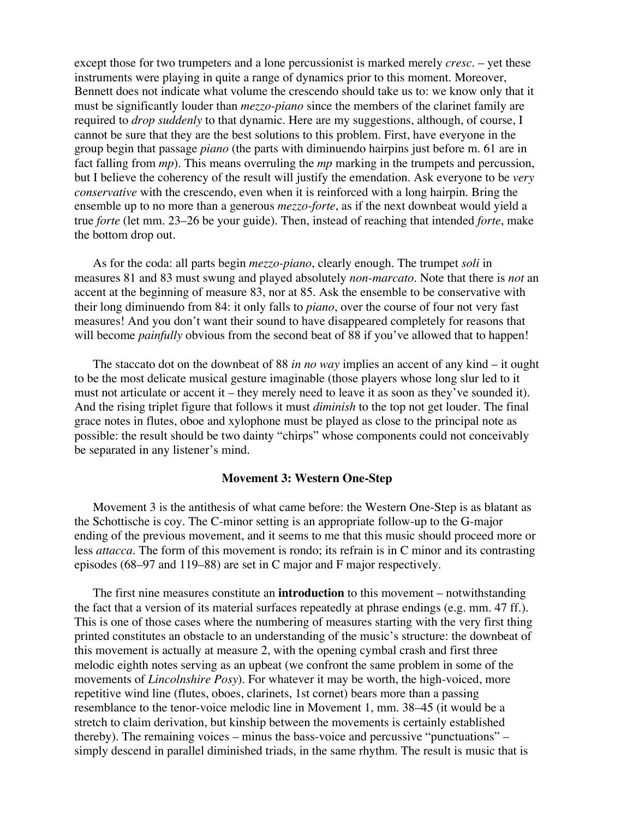except those for two trumpeters and a lone percussionist is marked merely *cresc*. – yet these instruments were playing in quite a range of dynamics prior to this moment. Moreover, Bennett does not indicate what volume the crescendo should take us to: we know only that it must be significantly louder than *mezzo-piano* since the members of the clarinet family are required to *drop suddenly* to that dynamic. Here are my suggestions, although, of course, I cannot be sure that they are the best solutions to this problem. First, have everyone in the group begin that passage *piano* (the parts with diminuendo hairpins just before m. 61 are in fact falling from *mp*). This means overruling the *mp* marking in the trumpets and percussion, but I believe the coherency of the result will justify the emendation. Ask everyone to be *very conservative* with the crescendo, even when it is reinforced with a long hairpin. Bring the ensemble up to no more than a generous *mezzo-forte*, as if the next downbeat would yield a true *forte* (let mm. 23–26 be your guide). Then, instead of reaching that intended *forte*, make the bottom drop out.

As for the coda: all parts begin *mezzo-piano*, clearly enough. The trumpet *soli* in measures 81 and 83 must swung and played absolutely *non-marcato*. Note that there is *not* an accent at the beginning of measure 83, nor at 85. Ask the ensemble to be conservative with their long diminuendo from 84: it only falls to *piano*, over the course of four not very fast measures! And you don't want their sound to have disappeared completely for reasons that will become *painfully* obvious from the second beat of 88 if you've allowed that to happen!

The staccato dot on the downbeat of 88 *in no way* implies an accent of any kind – it ought to be the most delicate musical gesture imaginable (those players whose long slur led to it must not articulate or accent it – they merely need to leave it as soon as they've sounded it). And the rising triplet figure that follows it must *diminish* to the top not get louder. The final grace notes in flutes, oboe and xylophone must be played as close to the principal note as possible: the result should be two dainty "chirps" whose components could not conceivably be separated in any listener's mind.

## **Movement 3: Western One-Step**

Movement 3 is the antithesis of what came before: the Western One-Step is as blatant as the Schottische is coy. The C-minor setting is an appropriate follow-up to the G-major ending of the previous movement, and it seems to me that this music should proceed more or less *attacca*. The form of this movement is rondo; its refrain is in C minor and its contrasting episodes (68–97 and 119–88) are set in C major and F major respectively.

The first nine measures constitute an **introduction** to this movement – notwithstanding the fact that a version of its material surfaces repeatedly at phrase endings (e.g. mm. 47 ff.). This is one of those cases where the numbering of measures starting with the very first thing printed constitutes an obstacle to an understanding of the music's structure: the downbeat of this movement is actually at measure 2, with the opening cymbal crash and first three melodic eighth notes serving as an upbeat (we confront the same problem in some of the movements of *Lincolnshire Posy*). For whatever it may be worth, the high-voiced, more repetitive wind line (flutes, oboes, clarinets, 1st cornet) bears more than a passing resemblance to the tenor-voice melodic line in Movement 1, mm. 38–45 (it would be a stretch to claim derivation, but kinship between the movements is certainly established thereby). The remaining voices – minus the bass-voice and percussive "punctuations" – simply descend in parallel diminished triads, in the same rhythm. The result is music that is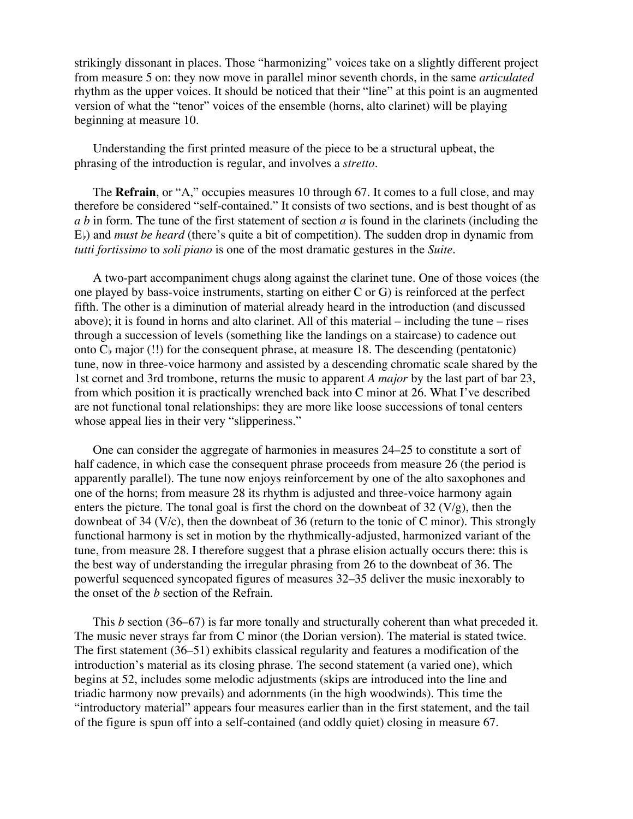strikingly dissonant in places. Those "harmonizing" voices take on a slightly different project from measure 5 on: they now move in parallel minor seventh chords, in the same *articulated* rhythm as the upper voices. It should be noticed that their "line" at this point is an augmented version of what the "tenor" voices of the ensemble (horns, alto clarinet) will be playing beginning at measure 10.

Understanding the first printed measure of the piece to be a structural upbeat, the phrasing of the introduction is regular, and involves a *stretto*.

The **Refrain**, or "A," occupies measures 10 through 67. It comes to a full close, and may therefore be considered "self-contained." It consists of two sections, and is best thought of as *a b* in form. The tune of the first statement of section *a* is found in the clarinets (including the E) and *must be heard* (there's quite a bit of competition). The sudden drop in dynamic from *tutti fortissimo* to *soli piano* is one of the most dramatic gestures in the *Suite*.

A two-part accompaniment chugs along against the clarinet tune. One of those voices (the one played by bass-voice instruments, starting on either C or G) is reinforced at the perfect fifth. The other is a diminution of material already heard in the introduction (and discussed above); it is found in horns and alto clarinet. All of this material – including the tune – rises through a succession of levels (something like the landings on a staircase) to cadence out onto  $C_b$  major (!!) for the consequent phrase, at measure 18. The descending (pentatonic) tune, now in three-voice harmony and assisted by a descending chromatic scale shared by the 1st cornet and 3rd trombone, returns the music to apparent *A major* by the last part of bar 23, from which position it is practically wrenched back into C minor at 26. What I've described are not functional tonal relationships: they are more like loose successions of tonal centers whose appeal lies in their very "slipperiness."

One can consider the aggregate of harmonies in measures 24–25 to constitute a sort of half cadence, in which case the consequent phrase proceeds from measure 26 (the period is apparently parallel). The tune now enjoys reinforcement by one of the alto saxophones and one of the horns; from measure 28 its rhythm is adjusted and three-voice harmony again enters the picture. The tonal goal is first the chord on the downbeat of  $32 \, (V/g)$ , then the downbeat of 34  $(V/c)$ , then the downbeat of 36 (return to the tonic of C minor). This strongly functional harmony is set in motion by the rhythmically-adjusted, harmonized variant of the tune, from measure 28. I therefore suggest that a phrase elision actually occurs there: this is the best way of understanding the irregular phrasing from 26 to the downbeat of 36. The powerful sequenced syncopated figures of measures 32–35 deliver the music inexorably to the onset of the *b* section of the Refrain.

This *b* section (36–67) is far more tonally and structurally coherent than what preceded it. The music never strays far from C minor (the Dorian version). The material is stated twice. The first statement (36–51) exhibits classical regularity and features a modification of the introduction's material as its closing phrase. The second statement (a varied one), which begins at 52, includes some melodic adjustments (skips are introduced into the line and triadic harmony now prevails) and adornments (in the high woodwinds). This time the "introductory material" appears four measures earlier than in the first statement, and the tail of the figure is spun off into a self-contained (and oddly quiet) closing in measure 67.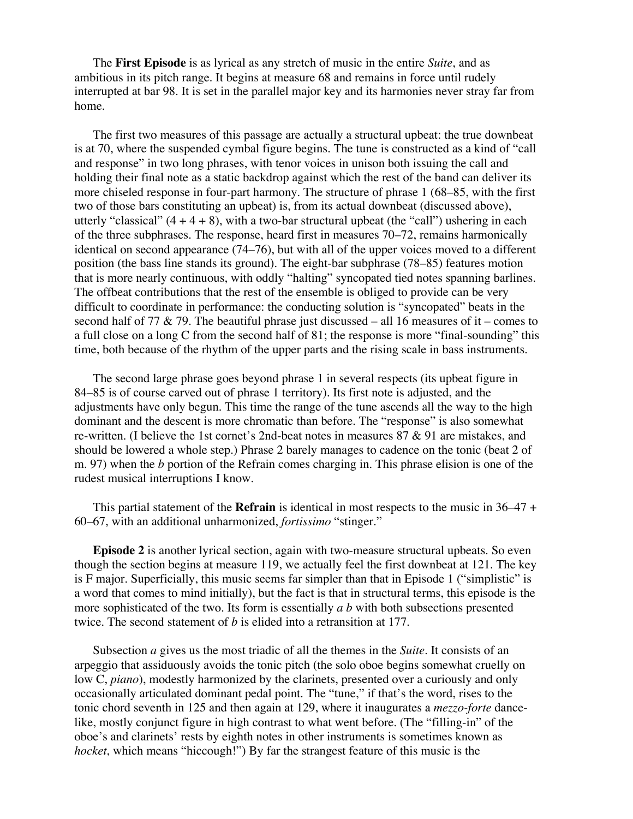The **First Episode** is as lyrical as any stretch of music in the entire *Suite*, and as ambitious in its pitch range. It begins at measure 68 and remains in force until rudely interrupted at bar 98. It is set in the parallel major key and its harmonies never stray far from home.

The first two measures of this passage are actually a structural upbeat: the true downbeat is at 70, where the suspended cymbal figure begins. The tune is constructed as a kind of "call and response" in two long phrases, with tenor voices in unison both issuing the call and holding their final note as a static backdrop against which the rest of the band can deliver its more chiseled response in four-part harmony. The structure of phrase 1 (68–85, with the first two of those bars constituting an upbeat) is, from its actual downbeat (discussed above), utterly "classical"  $(4 + 4 + 8)$ , with a two-bar structural upbeat (the "call") ushering in each of the three subphrases. The response, heard first in measures 70–72, remains harmonically identical on second appearance (74–76), but with all of the upper voices moved to a different position (the bass line stands its ground). The eight-bar subphrase (78–85) features motion that is more nearly continuous, with oddly "halting" syncopated tied notes spanning barlines. The offbeat contributions that the rest of the ensemble is obliged to provide can be very difficult to coordinate in performance: the conducting solution is "syncopated" beats in the second half of 77  $\&$  79. The beautiful phrase just discussed – all 16 measures of it – comes to a full close on a long C from the second half of 81; the response is more "final-sounding" this time, both because of the rhythm of the upper parts and the rising scale in bass instruments.

The second large phrase goes beyond phrase 1 in several respects (its upbeat figure in 84–85 is of course carved out of phrase 1 territory). Its first note is adjusted, and the adjustments have only begun. This time the range of the tune ascends all the way to the high dominant and the descent is more chromatic than before. The "response" is also somewhat re-written. (I believe the 1st cornet's 2nd-beat notes in measures 87 & 91 are mistakes, and should be lowered a whole step.) Phrase 2 barely manages to cadence on the tonic (beat 2 of m. 97) when the *b* portion of the Refrain comes charging in. This phrase elision is one of the rudest musical interruptions I know.

This partial statement of the **Refrain** is identical in most respects to the music in 36–47 + 60–67, with an additional unharmonized, *fortissimo* "stinger."

**Episode 2** is another lyrical section, again with two-measure structural upbeats. So even though the section begins at measure 119, we actually feel the first downbeat at 121. The key is F major. Superficially, this music seems far simpler than that in Episode 1 ("simplistic" is a word that comes to mind initially), but the fact is that in structural terms, this episode is the more sophisticated of the two. Its form is essentially *a b* with both subsections presented twice. The second statement of *b* is elided into a retransition at 177.

Subsection *a* gives us the most triadic of all the themes in the *Suite*. It consists of an arpeggio that assiduously avoids the tonic pitch (the solo oboe begins somewhat cruelly on low C, *piano*), modestly harmonized by the clarinets, presented over a curiously and only occasionally articulated dominant pedal point. The "tune," if that's the word, rises to the tonic chord seventh in 125 and then again at 129, where it inaugurates a *mezzo-forte* dancelike, mostly conjunct figure in high contrast to what went before. (The "filling-in" of the oboe's and clarinets' rests by eighth notes in other instruments is sometimes known as *hocket*, which means "hiccough!") By far the strangest feature of this music is the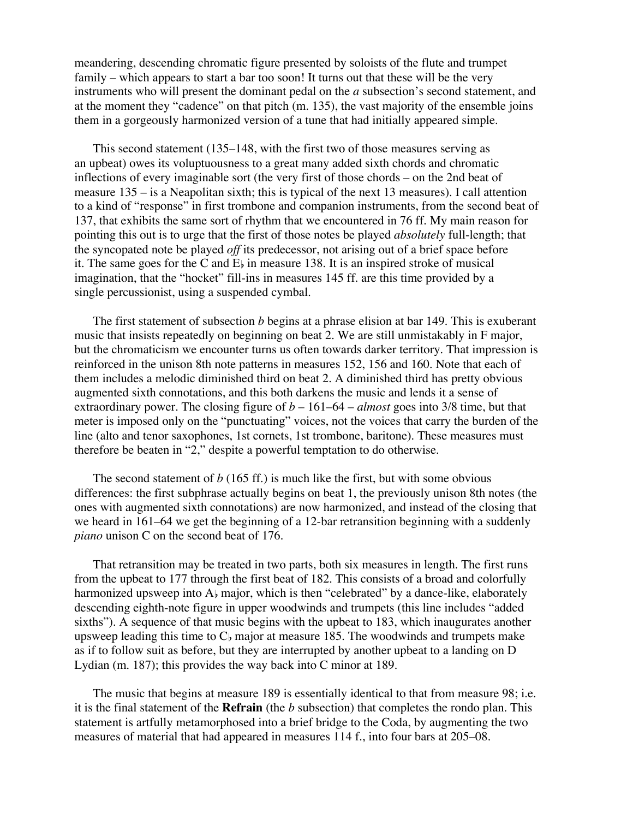meandering, descending chromatic figure presented by soloists of the flute and trumpet family – which appears to start a bar too soon! It turns out that these will be the very instruments who will present the dominant pedal on the *a* subsection's second statement, and at the moment they "cadence" on that pitch (m. 135), the vast majority of the ensemble joins them in a gorgeously harmonized version of a tune that had initially appeared simple.

This second statement (135–148, with the first two of those measures serving as an upbeat) owes its voluptuousness to a great many added sixth chords and chromatic inflections of every imaginable sort (the very first of those chords – on the 2nd beat of measure 135 – is a Neapolitan sixth; this is typical of the next 13 measures). I call attention to a kind of "response" in first trombone and companion instruments, from the second beat of 137, that exhibits the same sort of rhythm that we encountered in 76 ff. My main reason for pointing this out is to urge that the first of those notes be played *absolutely* full-length; that the syncopated note be played *off* its predecessor, not arising out of a brief space before it. The same goes for the C and  $E<sub>b</sub>$  in measure 138. It is an inspired stroke of musical imagination, that the "hocket" fill-ins in measures 145 ff. are this time provided by a single percussionist, using a suspended cymbal.

The first statement of subsection *b* begins at a phrase elision at bar 149. This is exuberant music that insists repeatedly on beginning on beat 2. We are still unmistakably in F major, but the chromaticism we encounter turns us often towards darker territory. That impression is reinforced in the unison 8th note patterns in measures 152, 156 and 160. Note that each of them includes a melodic diminished third on beat 2. A diminished third has pretty obvious augmented sixth connotations, and this both darkens the music and lends it a sense of extraordinary power. The closing figure of *b* – 161–64 – *almost* goes into 3/8 time, but that meter is imposed only on the "punctuating" voices, not the voices that carry the burden of the line (alto and tenor saxophones, 1st cornets, 1st trombone, baritone). These measures must therefore be beaten in "2," despite a powerful temptation to do otherwise.

The second statement of *b* (165 ff.) is much like the first, but with some obvious differences: the first subphrase actually begins on beat 1, the previously unison 8th notes (the ones with augmented sixth connotations) are now harmonized, and instead of the closing that we heard in 161–64 we get the beginning of a 12-bar retransition beginning with a suddenly *piano* unison C on the second beat of 176.

That retransition may be treated in two parts, both six measures in length. The first runs from the upbeat to 177 through the first beat of 182. This consists of a broad and colorfully harmonized upsweep into  $A_{\flat}$  major, which is then "celebrated" by a dance-like, elaborately descending eighth-note figure in upper woodwinds and trumpets (this line includes "added sixths"). A sequence of that music begins with the upbeat to 183, which inaugurates another upsweep leading this time to  $C<sub>b</sub>$  major at measure 185. The woodwinds and trumpets make as if to follow suit as before, but they are interrupted by another upbeat to a landing on D Lydian (m. 187); this provides the way back into C minor at 189.

The music that begins at measure 189 is essentially identical to that from measure 98; i.e. it is the final statement of the **Refrain** (the *b* subsection) that completes the rondo plan. This statement is artfully metamorphosed into a brief bridge to the Coda, by augmenting the two measures of material that had appeared in measures 114 f., into four bars at 205–08.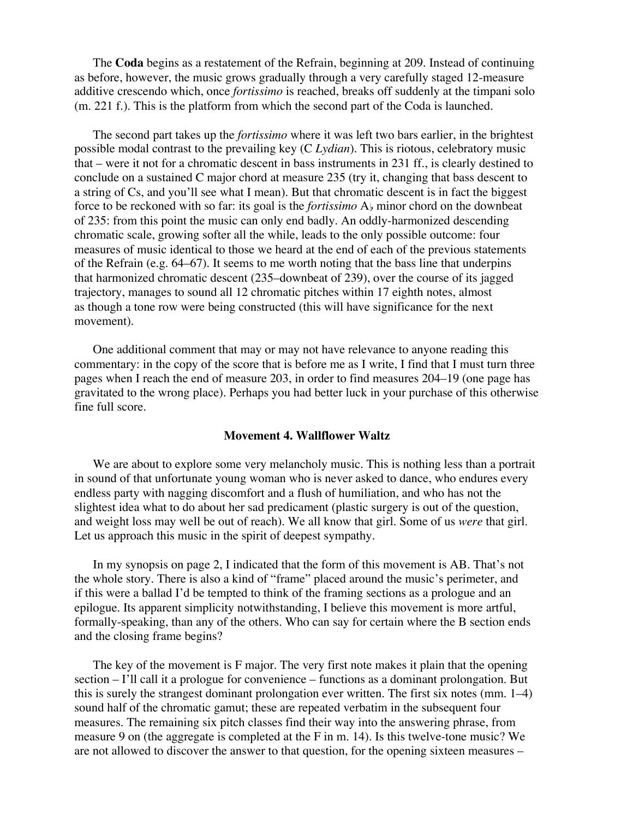The **Coda** begins as a restatement of the Refrain, beginning at 209. Instead of continuing as before, however, the music grows gradually through a very carefully staged 12-measure additive crescendo which, once *fortissimo* is reached, breaks off suddenly at the timpani solo (m. 221 f.). This is the platform from which the second part of the Coda is launched.

The second part takes up the *fortissimo* where it was left two bars earlier, in the brightest possible modal contrast to the prevailing key (C *Lydian*). This is riotous, celebratory music that – were it not for a chromatic descent in bass instruments in 231 ff., is clearly destined to conclude on a sustained C major chord at measure 235 (try it, changing that bass descent to a string of Cs, and you'll see what I mean). But that chromatic descent is in fact the biggest force to be reckoned with so far: its goal is the *fortissimo* A<sub>b</sub> minor chord on the downbeat of 235: from this point the music can only end badly. An oddly-harmonized descending chromatic scale, growing softer all the while, leads to the only possible outcome: four measures of music identical to those we heard at the end of each of the previous statements of the Refrain (e.g. 64–67). It seems to me worth noting that the bass line that underpins that harmonized chromatic descent (235–downbeat of 239), over the course of its jagged trajectory, manages to sound all 12 chromatic pitches within 17 eighth notes, almost as though a tone row were being constructed (this will have significance for the next movement).

One additional comment that may or may not have relevance to anyone reading this commentary: in the copy of the score that is before me as I write, I find that I must turn three pages when I reach the end of measure 203, in order to find measures 204–19 (one page has gravitated to the wrong place). Perhaps you had better luck in your purchase of this otherwise fine full score.

#### **Movement 4. Wallflower Waltz**

We are about to explore some very melancholy music. This is nothing less than a portrait in sound of that unfortunate young woman who is never asked to dance, who endures every endless party with nagging discomfort and a flush of humiliation, and who has not the slightest idea what to do about her sad predicament (plastic surgery is out of the question, and weight loss may well be out of reach). We all know that girl. Some of us *were* that girl. Let us approach this music in the spirit of deepest sympathy.

In my synopsis on page 2, I indicated that the form of this movement is AB. That's not the whole story. There is also a kind of "frame" placed around the music's perimeter, and if this were a ballad I'd be tempted to think of the framing sections as a prologue and an epilogue. Its apparent simplicity notwithstanding, I believe this movement is more artful, formally-speaking, than any of the others. Who can say for certain where the B section ends and the closing frame begins?

The key of the movement is F major. The very first note makes it plain that the opening section – I'll call it a prologue for convenience – functions as a dominant prolongation. But this is surely the strangest dominant prolongation ever written. The first six notes (mm. 1–4) sound half of the chromatic gamut; these are repeated verbatim in the subsequent four measures. The remaining six pitch classes find their way into the answering phrase, from measure 9 on (the aggregate is completed at the F in m. 14). Is this twelve-tone music? We are not allowed to discover the answer to that question, for the opening sixteen measures –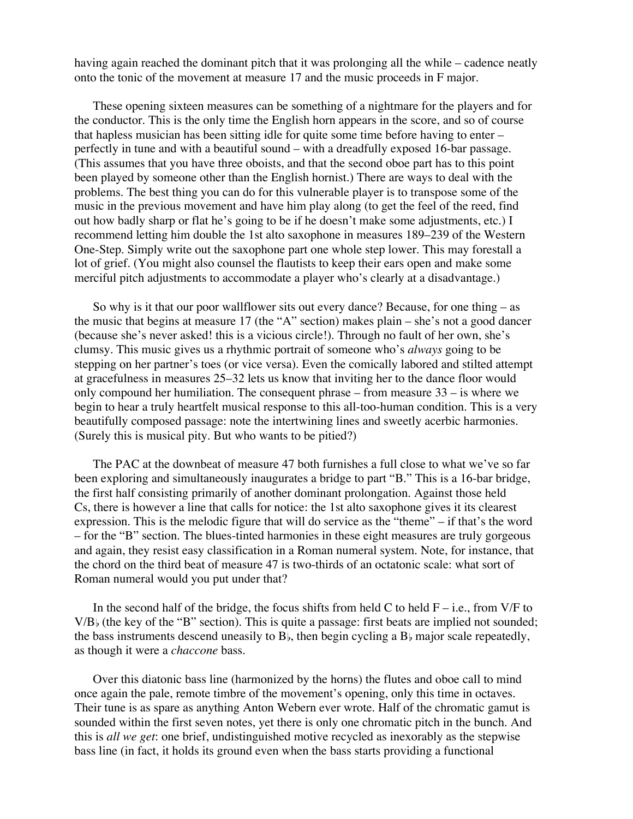having again reached the dominant pitch that it was prolonging all the while – cadence neatly onto the tonic of the movement at measure 17 and the music proceeds in F major.

These opening sixteen measures can be something of a nightmare for the players and for the conductor. This is the only time the English horn appears in the score, and so of course that hapless musician has been sitting idle for quite some time before having to enter – perfectly in tune and with a beautiful sound – with a dreadfully exposed 16-bar passage. (This assumes that you have three oboists, and that the second oboe part has to this point been played by someone other than the English hornist.) There are ways to deal with the problems. The best thing you can do for this vulnerable player is to transpose some of the music in the previous movement and have him play along (to get the feel of the reed, find out how badly sharp or flat he's going to be if he doesn't make some adjustments, etc.) I recommend letting him double the 1st alto saxophone in measures 189–239 of the Western One-Step. Simply write out the saxophone part one whole step lower. This may forestall a lot of grief. (You might also counsel the flautists to keep their ears open and make some merciful pitch adjustments to accommodate a player who's clearly at a disadvantage.)

So why is it that our poor wallflower sits out every dance? Because, for one thing – as the music that begins at measure 17 (the "A" section) makes plain – she's not a good dancer (because she's never asked! this is a vicious circle!). Through no fault of her own, she's clumsy. This music gives us a rhythmic portrait of someone who's *always* going to be stepping on her partner's toes (or vice versa). Even the comically labored and stilted attempt at gracefulness in measures 25–32 lets us know that inviting her to the dance floor would only compound her humiliation. The consequent phrase – from measure 33 – is where we begin to hear a truly heartfelt musical response to this all-too-human condition. This is a very beautifully composed passage: note the intertwining lines and sweetly acerbic harmonies. (Surely this is musical pity. But who wants to be pitied?)

The PAC at the downbeat of measure 47 both furnishes a full close to what we've so far been exploring and simultaneously inaugurates a bridge to part "B." This is a 16-bar bridge, the first half consisting primarily of another dominant prolongation. Against those held Cs, there is however a line that calls for notice: the 1st alto saxophone gives it its clearest expression. This is the melodic figure that will do service as the "theme" – if that's the word – for the "B" section. The blues-tinted harmonies in these eight measures are truly gorgeous and again, they resist easy classification in a Roman numeral system. Note, for instance, that the chord on the third beat of measure 47 is two-thirds of an octatonic scale: what sort of Roman numeral would you put under that?

In the second half of the bridge, the focus shifts from held C to held  $F - i.e.,$  from V/F to  $V/B$  (the key of the "B" section). This is quite a passage: first beats are implied not sounded; the bass instruments descend uneasily to  $B<sub>b</sub>$ , then begin cycling a  $B<sub>b</sub>$  major scale repeatedly, as though it were a *chaccone* bass.

Over this diatonic bass line (harmonized by the horns) the flutes and oboe call to mind once again the pale, remote timbre of the movement's opening, only this time in octaves. Their tune is as spare as anything Anton Webern ever wrote. Half of the chromatic gamut is sounded within the first seven notes, yet there is only one chromatic pitch in the bunch. And this is *all we get*: one brief, undistinguished motive recycled as inexorably as the stepwise bass line (in fact, it holds its ground even when the bass starts providing a functional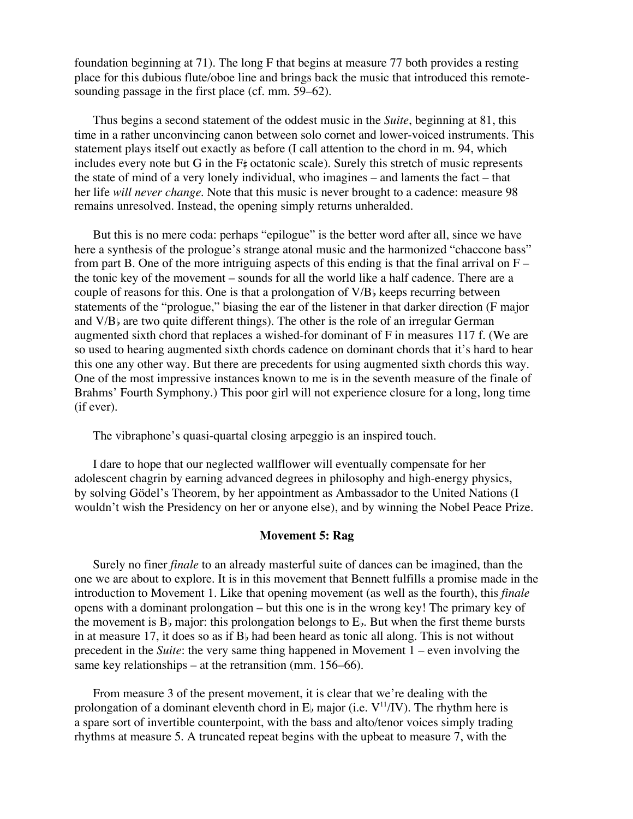foundation beginning at 71). The long F that begins at measure 77 both provides a resting place for this dubious flute/oboe line and brings back the music that introduced this remotesounding passage in the first place (cf. mm. 59–62).

Thus begins a second statement of the oddest music in the *Suite*, beginning at 81, this time in a rather unconvincing canon between solo cornet and lower-voiced instruments. This statement plays itself out exactly as before (I call attention to the chord in m. 94, which includes every note but G in the  $F_{\tau}$  octatonic scale). Surely this stretch of music represents the state of mind of a very lonely individual, who imagines – and laments the fact – that her life *will never change*. Note that this music is never brought to a cadence: measure 98 remains unresolved. Instead, the opening simply returns unheralded.

But this is no mere coda: perhaps "epilogue" is the better word after all, since we have here a synthesis of the prologue's strange atonal music and the harmonized "chaccone bass" from part B. One of the more intriguing aspects of this ending is that the final arrival on  $F$ the tonic key of the movement – sounds for all the world like a half cadence. There are a couple of reasons for this. One is that a prolongation of  $V/B<sub>b</sub>$  keeps recurring between statements of the "prologue," biasing the ear of the listener in that darker direction (F major and  $V/B$  are two quite different things). The other is the role of an irregular German augmented sixth chord that replaces a wished-for dominant of F in measures 117 f. (We are so used to hearing augmented sixth chords cadence on dominant chords that it's hard to hear this one any other way. But there are precedents for using augmented sixth chords this way. One of the most impressive instances known to me is in the seventh measure of the finale of Brahms' Fourth Symphony.) This poor girl will not experience closure for a long, long time (if ever).

The vibraphone's quasi-quartal closing arpeggio is an inspired touch.

I dare to hope that our neglected wallflower will eventually compensate for her adolescent chagrin by earning advanced degrees in philosophy and high-energy physics, by solving Gödel's Theorem, by her appointment as Ambassador to the United Nations (I wouldn't wish the Presidency on her or anyone else), and by winning the Nobel Peace Prize.

#### **Movement 5: Rag**

Surely no finer *finale* to an already masterful suite of dances can be imagined, than the one we are about to explore. It is in this movement that Bennett fulfills a promise made in the introduction to Movement 1. Like that opening movement (as well as the fourth), this *finale* opens with a dominant prolongation – but this one is in the wrong key! The primary key of the movement is  $B_{\flat}$  major: this prolongation belongs to  $E_{\flat}$ . But when the first theme bursts in at measure 17, it does so as if  $B<sub>b</sub>$  had been heard as tonic all along. This is not without precedent in the *Suite*: the very same thing happened in Movement 1 – even involving the same key relationships – at the retransition (mm. 156–66).

From measure 3 of the present movement, it is clear that we're dealing with the prolongation of a dominant eleventh chord in  $E_b$  major (i.e.  $V^{11}/\text{IV}$ ). The rhythm here is a spare sort of invertible counterpoint, with the bass and alto/tenor voices simply trading rhythms at measure 5. A truncated repeat begins with the upbeat to measure 7, with the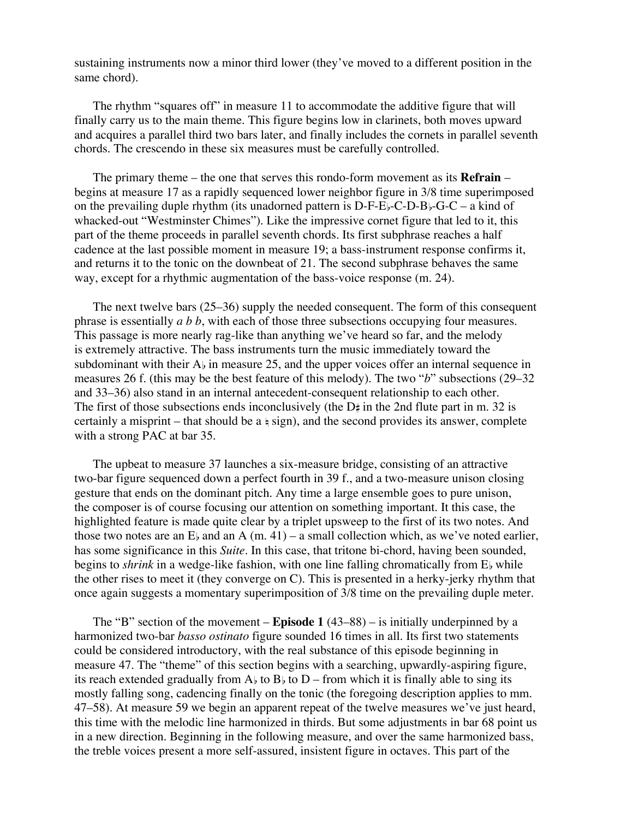sustaining instruments now a minor third lower (they've moved to a different position in the same chord).

The rhythm "squares off" in measure 11 to accommodate the additive figure that will finally carry us to the main theme. This figure begins low in clarinets, both moves upward and acquires a parallel third two bars later, and finally includes the cornets in parallel seventh chords. The crescendo in these six measures must be carefully controlled.

The primary theme – the one that serves this rondo-form movement as its **Refrain** – begins at measure 17 as a rapidly sequenced lower neighbor figure in 3/8 time superimposed on the prevailing duple rhythm (its unadorned pattern is  $D-F-E$ )-C-D-B)-G-C – a kind of whacked-out "Westminster Chimes"). Like the impressive cornet figure that led to it, this part of the theme proceeds in parallel seventh chords. Its first subphrase reaches a half cadence at the last possible moment in measure 19; a bass-instrument response confirms it, and returns it to the tonic on the downbeat of 21. The second subphrase behaves the same way, except for a rhythmic augmentation of the bass-voice response (m. 24).

The next twelve bars (25–36) supply the needed consequent. The form of this consequent phrase is essentially *a b b*, with each of those three subsections occupying four measures. This passage is more nearly rag-like than anything we've heard so far, and the melody is extremely attractive. The bass instruments turn the music immediately toward the subdominant with their  $A_{\flat}$  in measure 25, and the upper voices offer an internal sequence in measures 26 f. (this may be the best feature of this melody). The two "*b*" subsections (29–32 and 33–36) also stand in an internal antecedent-consequent relationship to each other. The first of those subsections ends inconclusively (the  $D\sharp$  in the 2nd flute part in m. 32 is certainly a misprint – that should be a  $\frac{1}{2}$  sign), and the second provides its answer, complete with a strong PAC at bar 35.

The upbeat to measure 37 launches a six-measure bridge, consisting of an attractive two-bar figure sequenced down a perfect fourth in 39 f., and a two-measure unison closing gesture that ends on the dominant pitch. Any time a large ensemble goes to pure unison, the composer is of course focusing our attention on something important. It this case, the highlighted feature is made quite clear by a triplet upsweep to the first of its two notes. And those two notes are an  $E<sub>b</sub>$  and an A (m. 41) – a small collection which, as we've noted earlier, has some significance in this *Suite*. In this case, that tritone bi-chord, having been sounded, begins to *shrink* in a wedge-like fashion, with one line falling chromatically from E<sub>b</sub> while the other rises to meet it (they converge on C). This is presented in a herky-jerky rhythm that once again suggests a momentary superimposition of 3/8 time on the prevailing duple meter.

The "B" section of the movement – **Episode 1** (43–88) – is initially underpinned by a harmonized two-bar *basso ostinato* figure sounded 16 times in all. Its first two statements could be considered introductory, with the real substance of this episode beginning in measure 47. The "theme" of this section begins with a searching, upwardly-aspiring figure, its reach extended gradually from  $A<sub>b</sub>$  to  $B<sub>b</sub>$  to  $D$  – from which it is finally able to sing its mostly falling song, cadencing finally on the tonic (the foregoing description applies to mm. 47–58). At measure 59 we begin an apparent repeat of the twelve measures we've just heard, this time with the melodic line harmonized in thirds. But some adjustments in bar 68 point us in a new direction. Beginning in the following measure, and over the same harmonized bass, the treble voices present a more self-assured, insistent figure in octaves. This part of the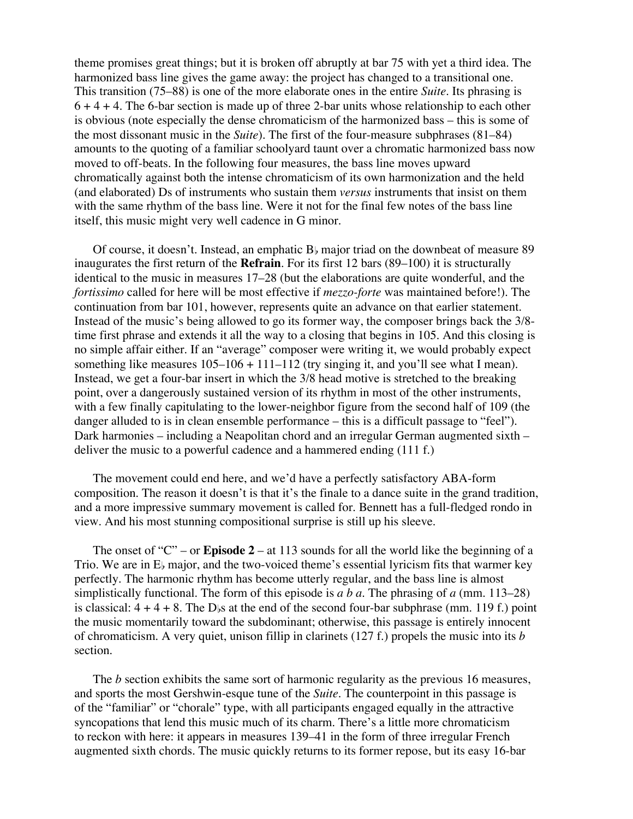theme promises great things; but it is broken off abruptly at bar 75 with yet a third idea. The harmonized bass line gives the game away: the project has changed to a transitional one. This transition (75–88) is one of the more elaborate ones in the entire *Suite*. Its phrasing is  $6 + 4 + 4$ . The 6-bar section is made up of three 2-bar units whose relationship to each other is obvious (note especially the dense chromaticism of the harmonized bass – this is some of the most dissonant music in the *Suite*). The first of the four-measure subphrases (81–84) amounts to the quoting of a familiar schoolyard taunt over a chromatic harmonized bass now moved to off-beats. In the following four measures, the bass line moves upward chromatically against both the intense chromaticism of its own harmonization and the held (and elaborated) Ds of instruments who sustain them *versus* instruments that insist on them with the same rhythm of the bass line. Were it not for the final few notes of the bass line itself, this music might very well cadence in G minor.

Of course, it doesn't. Instead, an emphatic  $B_{\flat}$  major triad on the downbeat of measure 89 inaugurates the first return of the **Refrain**. For its first 12 bars (89–100) it is structurally identical to the music in measures 17–28 (but the elaborations are quite wonderful, and the *fortissimo* called for here will be most effective if *mezzo-forte* was maintained before!). The continuation from bar 101, however, represents quite an advance on that earlier statement. Instead of the music's being allowed to go its former way, the composer brings back the 3/8 time first phrase and extends it all the way to a closing that begins in 105. And this closing is no simple affair either. If an "average" composer were writing it, we would probably expect something like measures  $105-106 + 111-112$  (try singing it, and you'll see what I mean). Instead, we get a four-bar insert in which the 3/8 head motive is stretched to the breaking point, over a dangerously sustained version of its rhythm in most of the other instruments, with a few finally capitulating to the lower-neighbor figure from the second half of 109 (the danger alluded to is in clean ensemble performance – this is a difficult passage to "feel"). Dark harmonies – including a Neapolitan chord and an irregular German augmented sixth – deliver the music to a powerful cadence and a hammered ending (111 f.)

The movement could end here, and we'd have a perfectly satisfactory ABA-form composition. The reason it doesn't is that it's the finale to a dance suite in the grand tradition, and a more impressive summary movement is called for. Bennett has a full-fledged rondo in view. And his most stunning compositional surprise is still up his sleeve.

The onset of " $C$ " – or **Episode 2** – at 113 sounds for all the world like the beginning of a Trio. We are in  $E<sub>b</sub>$  major, and the two-voiced theme's essential lyricism fits that warmer key perfectly. The harmonic rhythm has become utterly regular, and the bass line is almost simplistically functional. The form of this episode is *a b a*. The phrasing of *a* (mm. 113–28) is classical:  $4 + 4 + 8$ . The D<sub>bs</sub> at the end of the second four-bar subphrase (mm. 119 f.) point the music momentarily toward the subdominant; otherwise, this passage is entirely innocent of chromaticism. A very quiet, unison fillip in clarinets (127 f.) propels the music into its *b* section.

The *b* section exhibits the same sort of harmonic regularity as the previous 16 measures, and sports the most Gershwin-esque tune of the *Suite*. The counterpoint in this passage is of the "familiar" or "chorale" type, with all participants engaged equally in the attractive syncopations that lend this music much of its charm. There's a little more chromaticism to reckon with here: it appears in measures 139–41 in the form of three irregular French augmented sixth chords. The music quickly returns to its former repose, but its easy 16-bar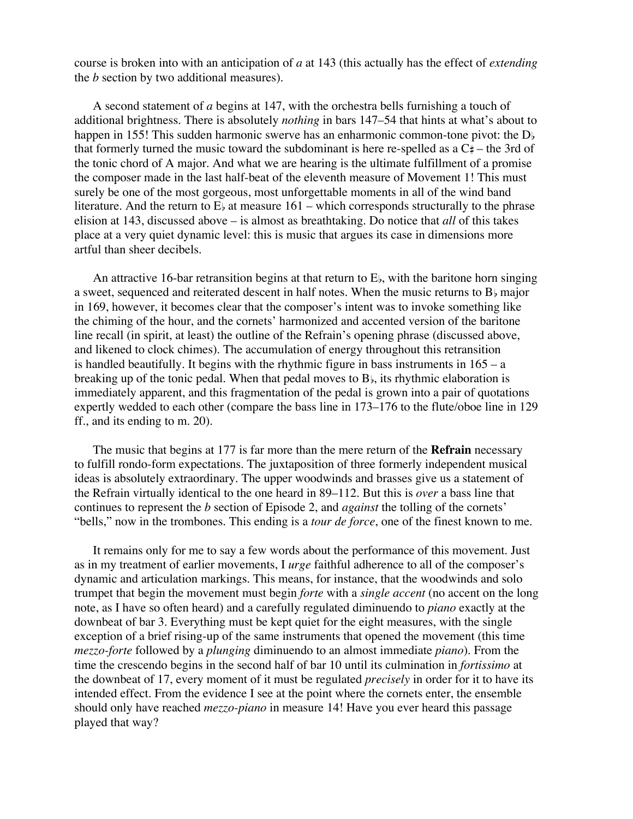course is broken into with an anticipation of *a* at 143 (this actually has the effect of *extending* the *b* section by two additional measures).

A second statement of *a* begins at 147, with the orchestra bells furnishing a touch of additional brightness. There is absolutely *nothing* in bars 147–54 that hints at what's about to happen in 155! This sudden harmonic swerve has an enharmonic common-tone pivot: the D<sub>b</sub> that formerly turned the music toward the subdominant is here re-spelled as a  $C_{\mu}^*$  – the 3rd of the tonic chord of A major. And what we are hearing is the ultimate fulfillment of a promise the composer made in the last half-beat of the eleventh measure of Movement 1! This must surely be one of the most gorgeous, most unforgettable moments in all of the wind band literature. And the return to  $E<sub>b</sub>$  at measure 161 – which corresponds structurally to the phrase elision at 143, discussed above – is almost as breathtaking. Do notice that *all* of this takes place at a very quiet dynamic level: this is music that argues its case in dimensions more artful than sheer decibels.

An attractive 16-bar retransition begins at that return to  $E_{\rm b}$ , with the baritone horn singing a sweet, sequenced and reiterated descent in half notes. When the music returns to  $B<sub>b</sub>$  major in 169, however, it becomes clear that the composer's intent was to invoke something like the chiming of the hour, and the cornets' harmonized and accented version of the baritone line recall (in spirit, at least) the outline of the Refrain's opening phrase (discussed above, and likened to clock chimes). The accumulation of energy throughout this retransition is handled beautifully. It begins with the rhythmic figure in bass instruments in  $165 - a$ breaking up of the tonic pedal. When that pedal moves to  $B_{\flat}$ , its rhythmic elaboration is immediately apparent, and this fragmentation of the pedal is grown into a pair of quotations expertly wedded to each other (compare the bass line in 173–176 to the flute/oboe line in 129 ff., and its ending to m. 20).

The music that begins at 177 is far more than the mere return of the **Refrain** necessary to fulfill rondo-form expectations. The juxtaposition of three formerly independent musical ideas is absolutely extraordinary. The upper woodwinds and brasses give us a statement of the Refrain virtually identical to the one heard in 89–112. But this is *over* a bass line that continues to represent the *b* section of Episode 2, and *against* the tolling of the cornets' "bells," now in the trombones. This ending is a *tour de force*, one of the finest known to me.

It remains only for me to say a few words about the performance of this movement. Just as in my treatment of earlier movements, I *urge* faithful adherence to all of the composer's dynamic and articulation markings. This means, for instance, that the woodwinds and solo trumpet that begin the movement must begin *forte* with a *single accent* (no accent on the long note, as I have so often heard) and a carefully regulated diminuendo to *piano* exactly at the downbeat of bar 3. Everything must be kept quiet for the eight measures, with the single exception of a brief rising-up of the same instruments that opened the movement (this time *mezzo-forte* followed by a *plunging* diminuendo to an almost immediate *piano*). From the time the crescendo begins in the second half of bar 10 until its culmination in *fortissimo* at the downbeat of 17, every moment of it must be regulated *precisely* in order for it to have its intended effect. From the evidence I see at the point where the cornets enter, the ensemble should only have reached *mezzo-piano* in measure 14! Have you ever heard this passage played that way?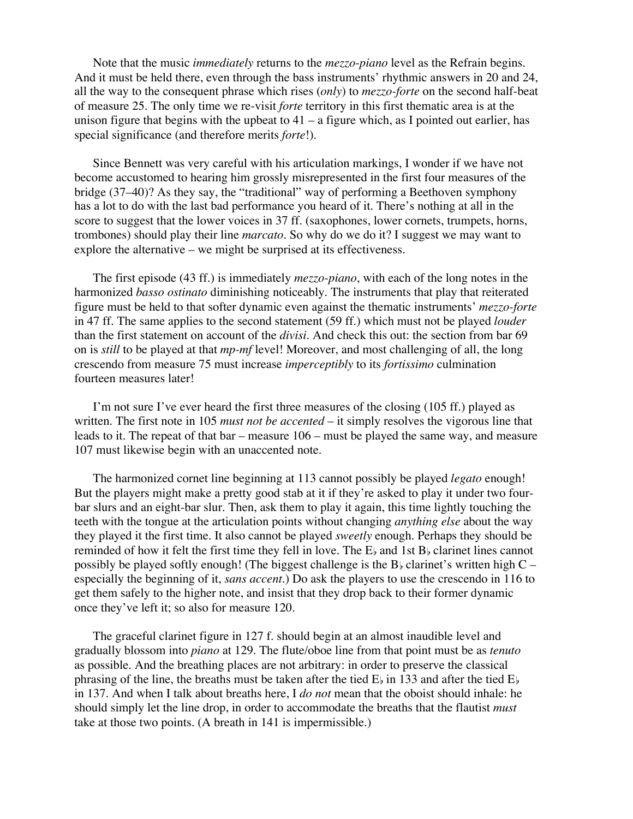Note that the music *immediately* returns to the *mezzo-piano* level as the Refrain begins. And it must be held there, even through the bass instruments' rhythmic answers in 20 and 24, all the way to the consequent phrase which rises (*only*) to *mezzo-forte* on the second half-beat of measure 25. The only time we re-visit *forte* territory in this first thematic area is at the unison figure that begins with the upbeat to  $41 - a$  figure which, as I pointed out earlier, has special significance (and therefore merits *forte*!).

Since Bennett was very careful with his articulation markings, I wonder if we have not become accustomed to hearing him grossly misrepresented in the first four measures of the bridge (37–40)? As they say, the "traditional" way of performing a Beethoven symphony has a lot to do with the last bad performance you heard of it. There's nothing at all in the score to suggest that the lower voices in 37 ff. (saxophones, lower cornets, trumpets, horns, trombones) should play their line *marcato*. So why do we do it? I suggest we may want to explore the alternative – we might be surprised at its effectiveness.

The first episode (43 ff.) is immediately *mezzo-piano*, with each of the long notes in the harmonized *basso ostinato* diminishing noticeably. The instruments that play that reiterated figure must be held to that softer dynamic even against the thematic instruments' *mezzo-forte* in 47 ff. The same applies to the second statement (59 ff.) which must not be played *louder* than the first statement on account of the *divisi*. And check this out: the section from bar 69 on is *still* to be played at that *mp-mf* level! Moreover, and most challenging of all, the long crescendo from measure 75 must increase *imperceptibly* to its *fortissimo* culmination fourteen measures later!

I'm not sure I've ever heard the first three measures of the closing (105 ff.) played as written. The first note in 105 *must not be accented* – it simply resolves the vigorous line that leads to it. The repeat of that bar – measure 106 – must be played the same way, and measure 107 must likewise begin with an unaccented note.

The harmonized cornet line beginning at 113 cannot possibly be played *legato* enough! But the players might make a pretty good stab at it if they're asked to play it under two fourbar slurs and an eight-bar slur. Then, ask them to play it again, this time lightly touching the teeth with the tongue at the articulation points without changing *anything else* about the way they played it the first time. It also cannot be played *sweetly* enough. Perhaps they should be reminded of how it felt the first time they fell in love. The  $E<sub>b</sub>$  and 1st  $B<sub>b</sub>$  clarinet lines cannot possibly be played softly enough! (The biggest challenge is the B $\flat$  clarinet's written high C – especially the beginning of it, *sans accent*.) Do ask the players to use the crescendo in 116 to get them safely to the higher note, and insist that they drop back to their former dynamic once they've left it; so also for measure 120.

The graceful clarinet figure in 127 f. should begin at an almost inaudible level and gradually blossom into *piano* at 129. The flute/oboe line from that point must be as *tenuto* as possible. And the breathing places are not arbitrary: in order to preserve the classical phrasing of the line, the breaths must be taken after the tied  $E_{\rm b}$  in 133 and after the tied  $E_{\rm b}$ in 137. And when I talk about breaths here, I *do not* mean that the oboist should inhale: he should simply let the line drop, in order to accommodate the breaths that the flautist *must* take at those two points. (A breath in 141 is impermissible.)